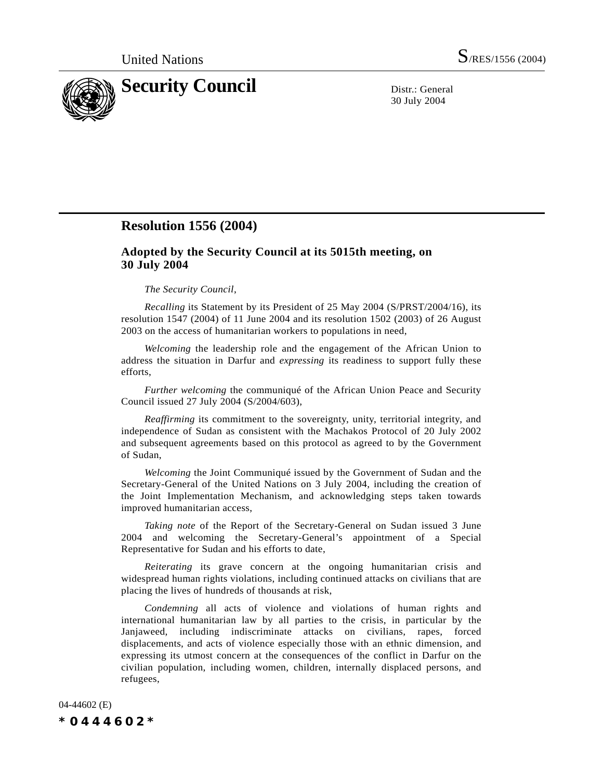

30 July 2004

## **Resolution 1556 (2004)**

## **Adopted by the Security Council at its 5015th meeting, on 30 July 2004**

## *The Security Council*,

*Recalling* its Statement by its President of 25 May 2004 (S/PRST/2004/16), its resolution 1547 (2004) of 11 June 2004 and its resolution 1502 (2003) of 26 August 2003 on the access of humanitarian workers to populations in need,

*Welcoming* the leadership role and the engagement of the African Union to address the situation in Darfur and *expressing* its readiness to support fully these efforts,

*Further welcoming* the communiqué of the African Union Peace and Security Council issued 27 July 2004 (S/2004/603),

*Reaffirming* its commitment to the sovereignty, unity, territorial integrity, and independence of Sudan as consistent with the Machakos Protocol of 20 July 2002 and subsequent agreements based on this protocol as agreed to by the Government of Sudan,

*Welcoming* the Joint Communiqué issued by the Government of Sudan and the Secretary-General of the United Nations on 3 July 2004, including the creation of the Joint Implementation Mechanism, and acknowledging steps taken towards improved humanitarian access,

*Taking note* of the Report of the Secretary-General on Sudan issued 3 June 2004 and welcoming the Secretary-General's appointment of a Special Representative for Sudan and his efforts to date,

*Reiterating* its grave concern at the ongoing humanitarian crisis and widespread human rights violations, including continued attacks on civilians that are placing the lives of hundreds of thousands at risk,

*Condemning* all acts of violence and violations of human rights and international humanitarian law by all parties to the crisis, in particular by the Janjaweed, including indiscriminate attacks on civilians, rapes, forced displacements, and acts of violence especially those with an ethnic dimension, and expressing its utmost concern at the consequences of the conflict in Darfur on the civilian population, including women, children, internally displaced persons, and refugees,

04-44602 (E) *\*0444602\**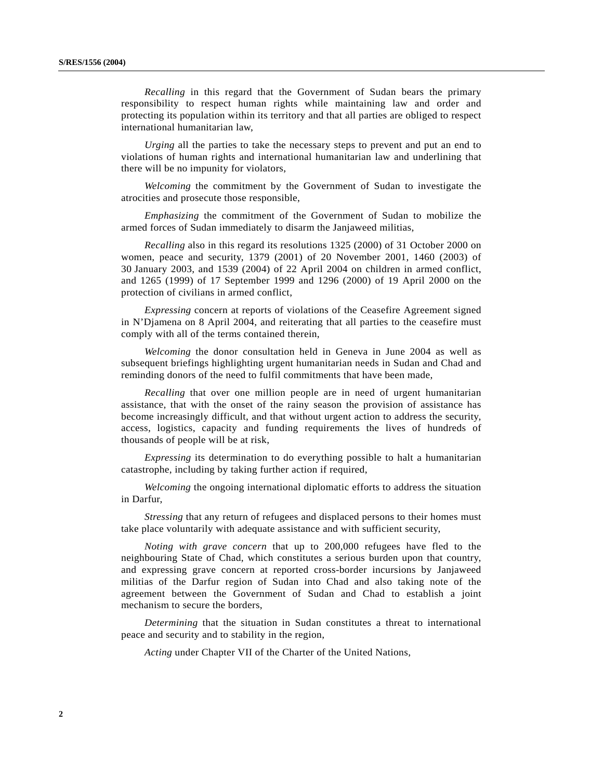*Recalling* in this regard that the Government of Sudan bears the primary responsibility to respect human rights while maintaining law and order and protecting its population within its territory and that all parties are obliged to respect international humanitarian law,

*Urging* all the parties to take the necessary steps to prevent and put an end to violations of human rights and international humanitarian law and underlining that there will be no impunity for violators,

*Welcoming* the commitment by the Government of Sudan to investigate the atrocities and prosecute those responsible,

*Emphasizing* the commitment of the Government of Sudan to mobilize the armed forces of Sudan immediately to disarm the Janjaweed militias,

*Recalling* also in this regard its resolutions 1325 (2000) of 31 October 2000 on women, peace and security, 1379 (2001) of 20 November 2001, 1460 (2003) of 30 January 2003, and 1539 (2004) of 22 April 2004 on children in armed conflict, and 1265 (1999) of 17 September 1999 and 1296 (2000) of 19 April 2000 on the protection of civilians in armed conflict,

*Expressing* concern at reports of violations of the Ceasefire Agreement signed in N'Djamena on 8 April 2004, and reiterating that all parties to the ceasefire must comply with all of the terms contained therein,

*Welcoming* the donor consultation held in Geneva in June 2004 as well as subsequent briefings highlighting urgent humanitarian needs in Sudan and Chad and reminding donors of the need to fulfil commitments that have been made,

*Recalling* that over one million people are in need of urgent humanitarian assistance, that with the onset of the rainy season the provision of assistance has become increasingly difficult, and that without urgent action to address the security, access, logistics, capacity and funding requirements the lives of hundreds of thousands of people will be at risk,

*Expressing* its determination to do everything possible to halt a humanitarian catastrophe, including by taking further action if required,

*Welcoming* the ongoing international diplomatic efforts to address the situation in Darfur,

*Stressing* that any return of refugees and displaced persons to their homes must take place voluntarily with adequate assistance and with sufficient security,

*Noting with grave concern* that up to 200,000 refugees have fled to the neighbouring State of Chad, which constitutes a serious burden upon that country, and expressing grave concern at reported cross-border incursions by Janjaweed militias of the Darfur region of Sudan into Chad and also taking note of the agreement between the Government of Sudan and Chad to establish a joint mechanism to secure the borders,

*Determining* that the situation in Sudan constitutes a threat to international peace and security and to stability in the region,

*Acting* under Chapter VII of the Charter of the United Nations,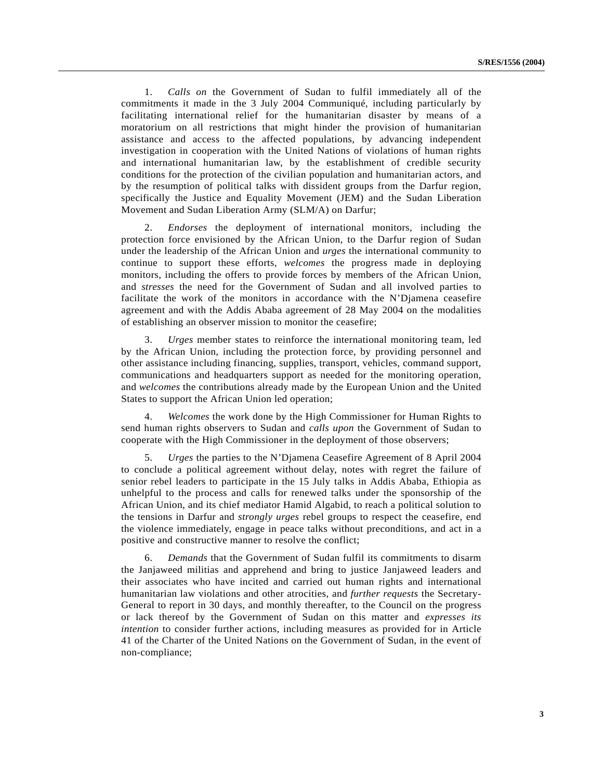1. *Calls on* the Government of Sudan to fulfil immediately all of the commitments it made in the 3 July 2004 Communiqué, including particularly by facilitating international relief for the humanitarian disaster by means of a moratorium on all restrictions that might hinder the provision of humanitarian assistance and access to the affected populations, by advancing independent investigation in cooperation with the United Nations of violations of human rights and international humanitarian law, by the establishment of credible security conditions for the protection of the civilian population and humanitarian actors, and by the resumption of political talks with dissident groups from the Darfur region, specifically the Justice and Equality Movement (JEM) and the Sudan Liberation Movement and Sudan Liberation Army (SLM/A) on Darfur;

2. *Endorses* the deployment of international monitors, including the protection force envisioned by the African Union, to the Darfur region of Sudan under the leadership of the African Union and *urges* the international community to continue to support these efforts, *welcomes* the progress made in deploying monitors, including the offers to provide forces by members of the African Union, and *stresses* the need for the Government of Sudan and all involved parties to facilitate the work of the monitors in accordance with the N'Djamena ceasefire agreement and with the Addis Ababa agreement of 28 May 2004 on the modalities of establishing an observer mission to monitor the ceasefire;

3. *Urges* member states to reinforce the international monitoring team, led by the African Union, including the protection force, by providing personnel and other assistance including financing, supplies, transport, vehicles, command support, communications and headquarters support as needed for the monitoring operation, and *welcomes* the contributions already made by the European Union and the United States to support the African Union led operation;

4. *Welcomes* the work done by the High Commissioner for Human Rights to send human rights observers to Sudan and *calls upon* the Government of Sudan to cooperate with the High Commissioner in the deployment of those observers;

5. *Urges* the parties to the N'Djamena Ceasefire Agreement of 8 April 2004 to conclude a political agreement without delay, notes with regret the failure of senior rebel leaders to participate in the 15 July talks in Addis Ababa, Ethiopia as unhelpful to the process and calls for renewed talks under the sponsorship of the African Union, and its chief mediator Hamid Algabid, to reach a political solution to the tensions in Darfur and *strongly urges* rebel groups to respect the ceasefire, end the violence immediately, engage in peace talks without preconditions, and act in a positive and constructive manner to resolve the conflict;

6. *Demands* that the Government of Sudan fulfil its commitments to disarm the Janjaweed militias and apprehend and bring to justice Janjaweed leaders and their associates who have incited and carried out human rights and international humanitarian law violations and other atrocities, and *further requests* the Secretary-General to report in 30 days, and monthly thereafter, to the Council on the progress or lack thereof by the Government of Sudan on this matter and *expresses its intention* to consider further actions, including measures as provided for in Article 41 of the Charter of the United Nations on the Government of Sudan, in the event of non-compliance;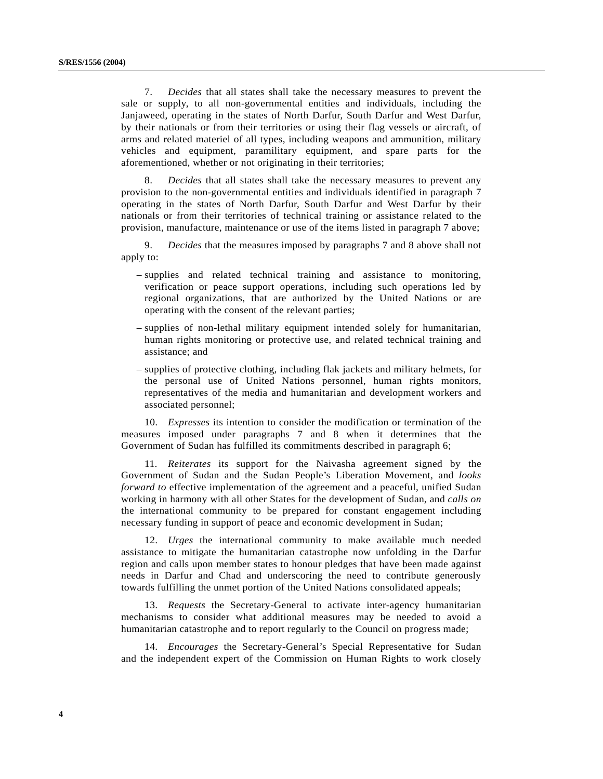7. *Decides* that all states shall take the necessary measures to prevent the sale or supply, to all non-governmental entities and individuals, including the Janjaweed, operating in the states of North Darfur, South Darfur and West Darfur, by their nationals or from their territories or using their flag vessels or aircraft, of arms and related materiel of all types, including weapons and ammunition, military vehicles and equipment, paramilitary equipment, and spare parts for the aforementioned, whether or not originating in their territories;

8. *Decides* that all states shall take the necessary measures to prevent any provision to the non-governmental entities and individuals identified in paragraph 7 operating in the states of North Darfur, South Darfur and West Darfur by their nationals or from their territories of technical training or assistance related to the provision, manufacture, maintenance or use of the items listed in paragraph 7 above;

9. *Decides* that the measures imposed by paragraphs 7 and 8 above shall not apply to:

- supplies and related technical training and assistance to monitoring, verification or peace support operations, including such operations led by regional organizations, that are authorized by the United Nations or are operating with the consent of the relevant parties;
- supplies of non-lethal military equipment intended solely for humanitarian, human rights monitoring or protective use, and related technical training and assistance; and
- supplies of protective clothing, including flak jackets and military helmets, for the personal use of United Nations personnel, human rights monitors, representatives of the media and humanitarian and development workers and associated personnel;

10. *Expresses* its intention to consider the modification or termination of the measures imposed under paragraphs 7 and 8 when it determines that the Government of Sudan has fulfilled its commitments described in paragraph 6;

11. *Reiterates* its support for the Naivasha agreement signed by the Government of Sudan and the Sudan People's Liberation Movement, and *looks forward to* effective implementation of the agreement and a peaceful, unified Sudan working in harmony with all other States for the development of Sudan, and *calls on* the international community to be prepared for constant engagement including necessary funding in support of peace and economic development in Sudan;

12. *Urges* the international community to make available much needed assistance to mitigate the humanitarian catastrophe now unfolding in the Darfur region and calls upon member states to honour pledges that have been made against needs in Darfur and Chad and underscoring the need to contribute generously towards fulfilling the unmet portion of the United Nations consolidated appeals;

13. *Requests* the Secretary-General to activate inter-agency humanitarian mechanisms to consider what additional measures may be needed to avoid a humanitarian catastrophe and to report regularly to the Council on progress made;

14. *Encourages* the Secretary-General's Special Representative for Sudan and the independent expert of the Commission on Human Rights to work closely